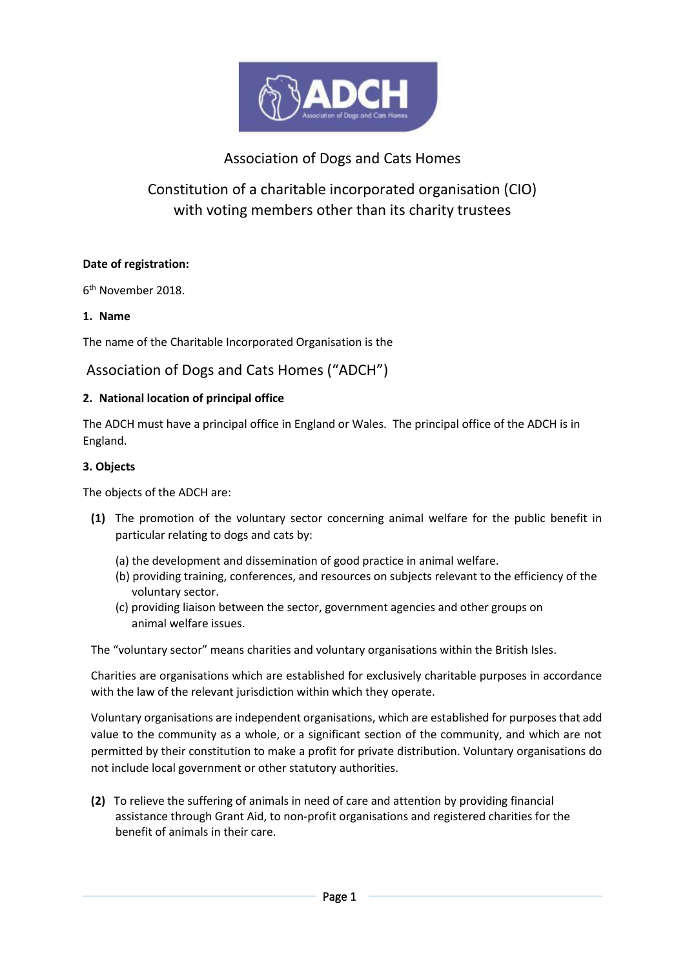

# Association of Dogs and Cats Homes

# Constitution of a charitable incorporated organisation (CIO) with voting members other than its charity trustees

### **Date of registration:**

6 th November 2018.

### **1. Name**

The name of the Charitable Incorporated Organisation is the

# Association of Dogs and Cats Homes ("ADCH")

### **2. National location of principal office**

The ADCH must have a principal office in England or Wales. The principal office of the ADCH is in England.

### **3. Objects**

The objects of the ADCH are:

- **(1)** The promotion of the voluntary sector concerning animal welfare for the public benefit in particular relating to dogs and cats by:
	- (a) the development and dissemination of good practice in animal welfare.
	- (b) providing training, conferences, and resources on subjects relevant to the efficiency of the voluntary sector.
	- (c) providing liaison between the sector, government agencies and other groups on animal welfare issues.

The "voluntary sector" means charities and voluntary organisations within the British Isles.

Charities are organisations which are established for exclusively charitable purposes in accordance with the law of the relevant jurisdiction within which they operate.

Voluntary organisations are independent organisations, which are established for purposes that add value to the community as a whole, or a significant section of the community, and which are not permitted by their constitution to make a profit for private distribution. Voluntary organisations do not include local government or other statutory authorities.

**(2)** To relieve the suffering of animals in need of care and attention by providing financial assistance through Grant Aid, to non-profit organisations and registered charities for the benefit of animals in their care.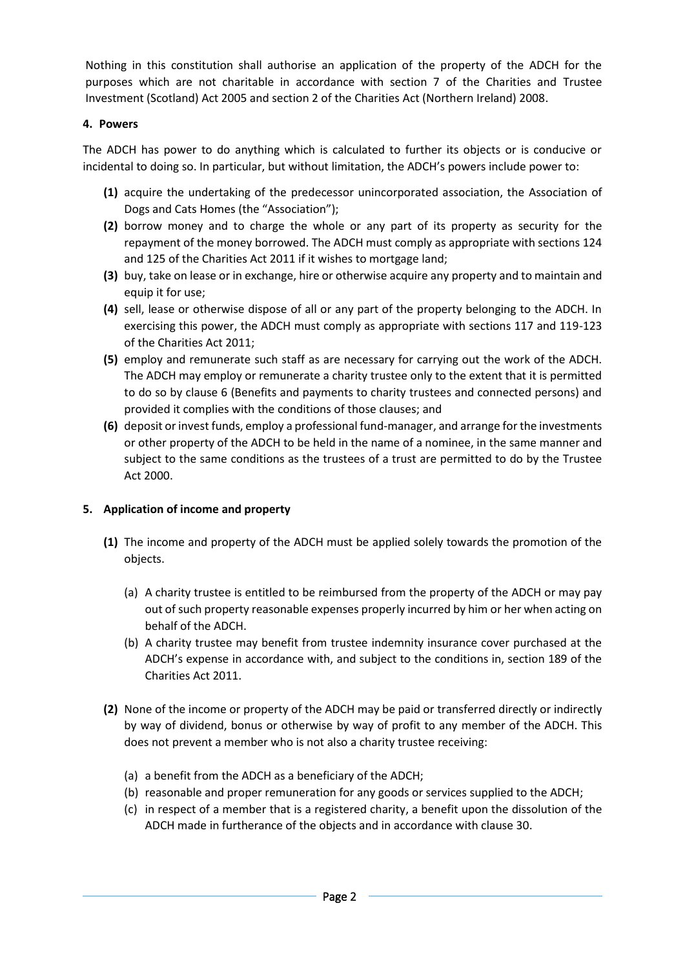Nothing in this constitution shall authorise an application of the property of the ADCH for the purposes which are not charitable in accordance with section 7 of the Charities and Trustee Investment (Scotland) Act 2005 and section 2 of the Charities Act (Northern Ireland) 2008.

# **4. Powers**

The ADCH has power to do anything which is calculated to further its objects or is conducive or incidental to doing so. In particular, but without limitation, the ADCH's powers include power to:

- **(1)** acquire the undertaking of the predecessor unincorporated association, the Association of Dogs and Cats Homes (the "Association");
- **(2)** borrow money and to charge the whole or any part of its property as security for the repayment of the money borrowed. The ADCH must comply as appropriate with sections 124 and 125 of the Charities Act 2011 if it wishes to mortgage land;
- **(3)** buy, take on lease or in exchange, hire or otherwise acquire any property and to maintain and equip it for use;
- **(4)** sell, lease or otherwise dispose of all or any part of the property belonging to the ADCH. In exercising this power, the ADCH must comply as appropriate with sections 117 and 119-123 of the Charities Act 2011;
- **(5)** employ and remunerate such staff as are necessary for carrying out the work of the ADCH. The ADCH may employ or remunerate a charity trustee only to the extent that it is permitted to do so by clause 6 (Benefits and payments to charity trustees and connected persons) and provided it complies with the conditions of those clauses; and
- **(6)** deposit or invest funds, employ a professional fund-manager, and arrange for the investments or other property of the ADCH to be held in the name of a nominee, in the same manner and subject to the same conditions as the trustees of a trust are permitted to do by the Trustee Act 2000.

### **5. Application of income and property**

- **(1)** The income and property of the ADCH must be applied solely towards the promotion of the objects.
	- (a) A charity trustee is entitled to be reimbursed from the property of the ADCH or may pay out of such property reasonable expenses properly incurred by him or her when acting on behalf of the ADCH.
	- (b) A charity trustee may benefit from trustee indemnity insurance cover purchased at the ADCH's expense in accordance with, and subject to the conditions in, section 189 of the Charities Act 2011.
- **(2)** None of the income or property of the ADCH may be paid or transferred directly or indirectly by way of dividend, bonus or otherwise by way of profit to any member of the ADCH. This does not prevent a member who is not also a charity trustee receiving:
	- (a) a benefit from the ADCH as a beneficiary of the ADCH;
	- (b) reasonable and proper remuneration for any goods or services supplied to the ADCH;
	- (c) in respect of a member that is a registered charity, a benefit upon the dissolution of the ADCH made in furtherance of the objects and in accordance with clause 30.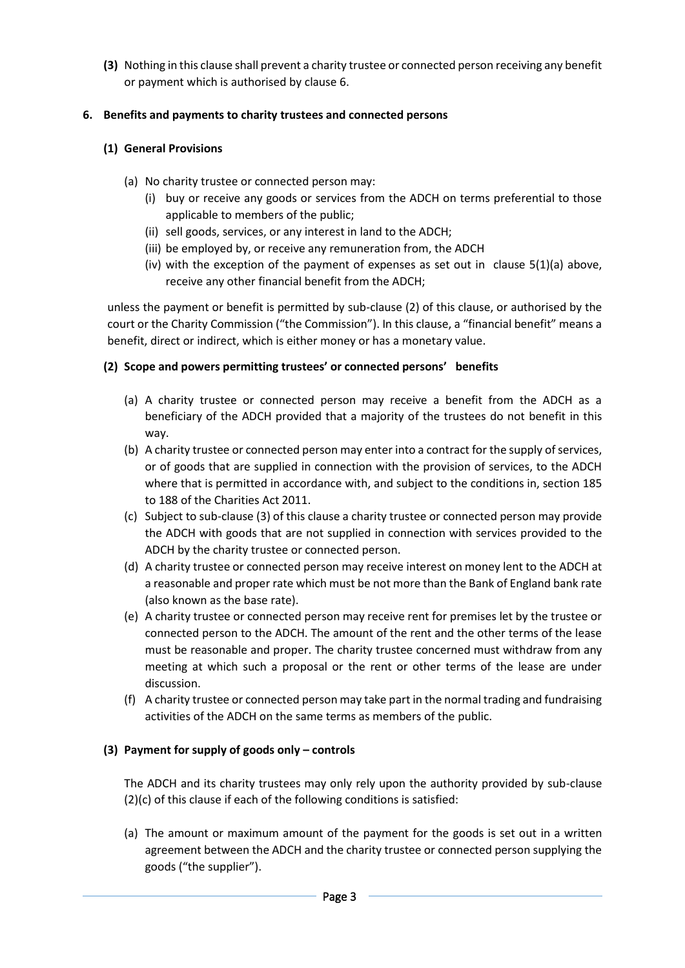**(3)** Nothing in this clause shall prevent a charity trustee or connected person receiving any benefit or payment which is authorised by clause 6.

# **6. Benefits and payments to charity trustees and connected persons**

# **(1) General Provisions**

- (a) No charity trustee or connected person may:
	- (i) buy or receive any goods or services from the ADCH on terms preferential to those applicable to members of the public;
	- (ii) sell goods, services, or any interest in land to the ADCH;
	- (iii) be employed by, or receive any remuneration from, the ADCH
	- (iv) with the exception of the payment of expenses as set out in clause 5(1)(a) above, receive any other financial benefit from the ADCH;

unless the payment or benefit is permitted by sub-clause (2) of this clause, or authorised by the court or the Charity Commission ("the Commission"). In this clause, a "financial benefit" means a benefit, direct or indirect, which is either money or has a monetary value.

# **(2) Scope and powers permitting trustees' or connected persons' benefits**

- (a) A charity trustee or connected person may receive a benefit from the ADCH as a beneficiary of the ADCH provided that a majority of the trustees do not benefit in this way.
- (b) A charity trustee or connected person may enter into a contract for the supply of services, or of goods that are supplied in connection with the provision of services, to the ADCH where that is permitted in accordance with, and subject to the conditions in, section 185 to 188 of the Charities Act 2011.
- (c) Subject to sub-clause (3) of this clause a charity trustee or connected person may provide the ADCH with goods that are not supplied in connection with services provided to the ADCH by the charity trustee or connected person.
- (d) A charity trustee or connected person may receive interest on money lent to the ADCH at a reasonable and proper rate which must be not more than the Bank of England bank rate (also known as the base rate).
- (e) A charity trustee or connected person may receive rent for premises let by the trustee or connected person to the ADCH. The amount of the rent and the other terms of the lease must be reasonable and proper. The charity trustee concerned must withdraw from any meeting at which such a proposal or the rent or other terms of the lease are under discussion.
- (f) A charity trustee or connected person may take part in the normal trading and fundraising activities of the ADCH on the same terms as members of the public.

# **(3) Payment for supply of goods only – controls**

The ADCH and its charity trustees may only rely upon the authority provided by sub-clause (2)(c) of this clause if each of the following conditions is satisfied:

(a) The amount or maximum amount of the payment for the goods is set out in a written agreement between the ADCH and the charity trustee or connected person supplying the goods ("the supplier").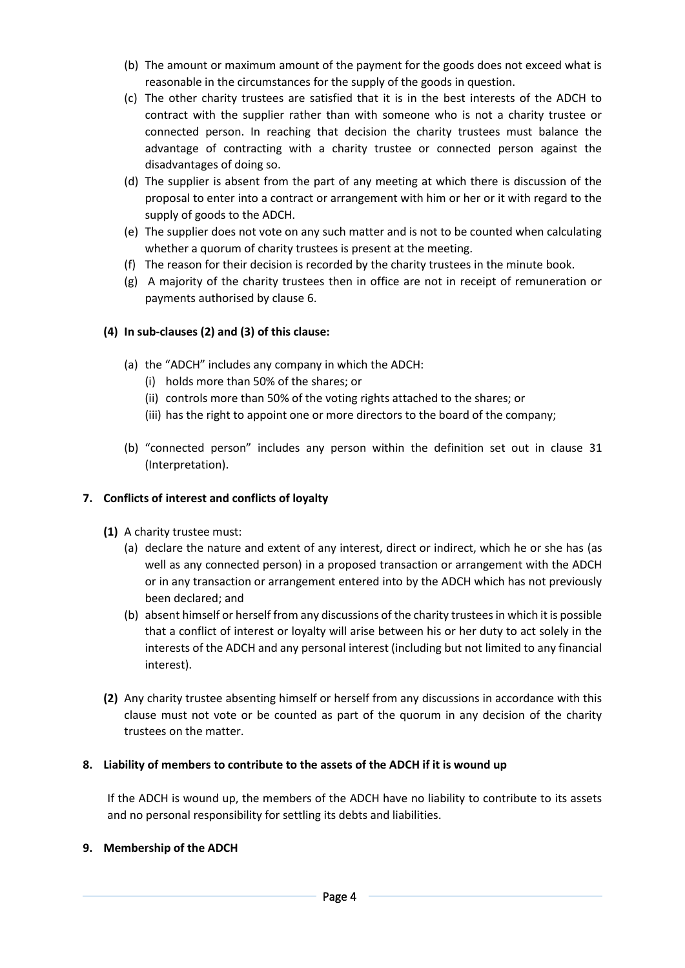- (b) The amount or maximum amount of the payment for the goods does not exceed what is reasonable in the circumstances for the supply of the goods in question.
- (c) The other charity trustees are satisfied that it is in the best interests of the ADCH to contract with the supplier rather than with someone who is not a charity trustee or connected person. In reaching that decision the charity trustees must balance the advantage of contracting with a charity trustee or connected person against the disadvantages of doing so.
- (d) The supplier is absent from the part of any meeting at which there is discussion of the proposal to enter into a contract or arrangement with him or her or it with regard to the supply of goods to the ADCH.
- (e) The supplier does not vote on any such matter and is not to be counted when calculating whether a quorum of charity trustees is present at the meeting.
- (f) The reason for their decision is recorded by the charity trustees in the minute book.
- (g) A majority of the charity trustees then in office are not in receipt of remuneration or payments authorised by clause 6.

### **(4) In sub-clauses (2) and (3) of this clause:**

- (a) the "ADCH" includes any company in which the ADCH:
	- (i) holds more than 50% of the shares; or
	- (ii) controls more than 50% of the voting rights attached to the shares; or
	- (iii) has the right to appoint one or more directors to the board of the company;
- (b) "connected person" includes any person within the definition set out in clause 31 (Interpretation).

#### **7. Conflicts of interest and conflicts of loyalty**

- **(1)** A charity trustee must:
	- (a) declare the nature and extent of any interest, direct or indirect, which he or she has (as well as any connected person) in a proposed transaction or arrangement with the ADCH or in any transaction or arrangement entered into by the ADCH which has not previously been declared; and
	- (b) absent himself or herself from any discussions of the charity trustees in which it is possible that a conflict of interest or loyalty will arise between his or her duty to act solely in the interests of the ADCH and any personal interest (including but not limited to any financial interest).
- **(2)** Any charity trustee absenting himself or herself from any discussions in accordance with this clause must not vote or be counted as part of the quorum in any decision of the charity trustees on the matter.

#### **8. Liability of members to contribute to the assets of the ADCH if it is wound up**

If the ADCH is wound up, the members of the ADCH have no liability to contribute to its assets and no personal responsibility for settling its debts and liabilities.

#### **9. Membership of the ADCH**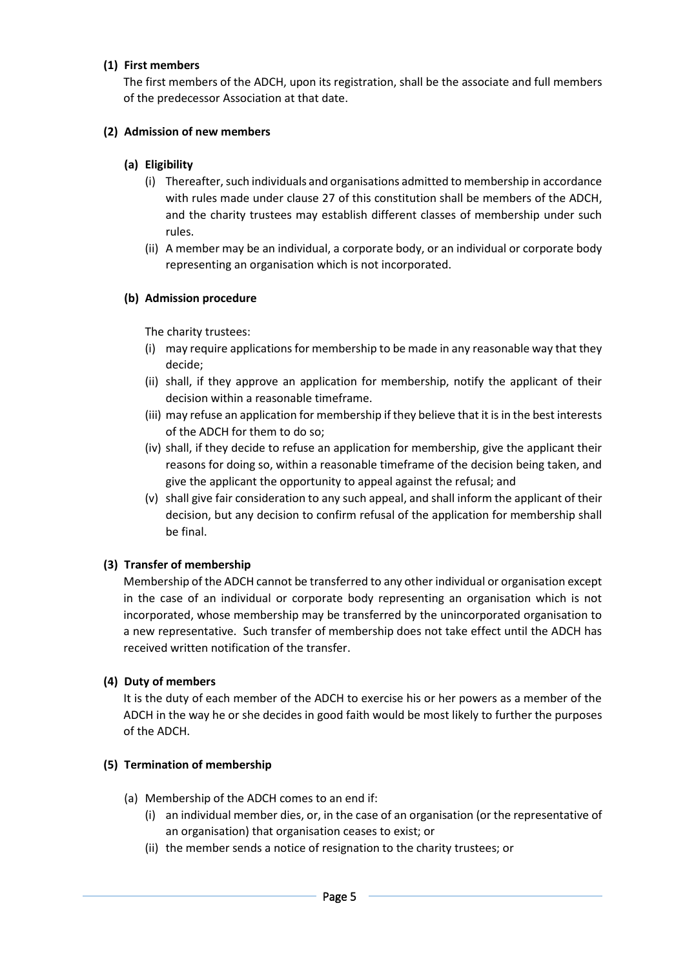### **(1) First members**

The first members of the ADCH, upon its registration, shall be the associate and full members of the predecessor Association at that date.

### **(2) Admission of new members**

### **(a) Eligibility**

- (i) Thereafter, such individuals and organisations admitted to membership in accordance with rules made under clause 27 of this constitution shall be members of the ADCH, and the charity trustees may establish different classes of membership under such rules.
- (ii) A member may be an individual, a corporate body, or an individual or corporate body representing an organisation which is not incorporated.

### **(b) Admission procedure**

The charity trustees:

- (i) may require applications for membership to be made in any reasonable way that they decide;
- (ii) shall, if they approve an application for membership, notify the applicant of their decision within a reasonable timeframe.
- (iii) may refuse an application for membership if they believe that it is in the best interests of the ADCH for them to do so;
- (iv) shall, if they decide to refuse an application for membership, give the applicant their reasons for doing so, within a reasonable timeframe of the decision being taken, and give the applicant the opportunity to appeal against the refusal; and
- (v) shall give fair consideration to any such appeal, and shall inform the applicant of their decision, but any decision to confirm refusal of the application for membership shall be final.

### **(3) Transfer of membership**

Membership of the ADCH cannot be transferred to any other individual or organisation except in the case of an individual or corporate body representing an organisation which is not incorporated, whose membership may be transferred by the unincorporated organisation to a new representative. Such transfer of membership does not take effect until the ADCH has received written notification of the transfer.

#### **(4) Duty of members**

It is the duty of each member of the ADCH to exercise his or her powers as a member of the ADCH in the way he or she decides in good faith would be most likely to further the purposes of the ADCH.

#### **(5) Termination of membership**

- (a) Membership of the ADCH comes to an end if:
	- (i) an individual member dies, or, in the case of an organisation (or the representative of an organisation) that organisation ceases to exist; or
	- (ii) the member sends a notice of resignation to the charity trustees; or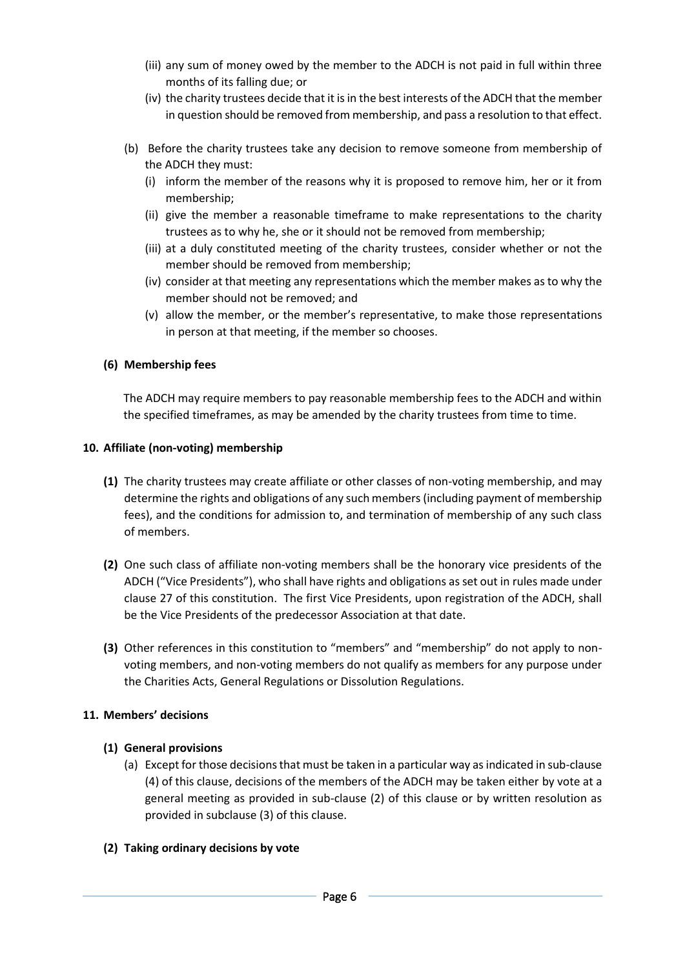- (iii) any sum of money owed by the member to the ADCH is not paid in full within three months of its falling due; or
- (iv) the charity trustees decide that it is in the best interests of the ADCH that the member in question should be removed from membership, and pass a resolution to that effect.
- (b) Before the charity trustees take any decision to remove someone from membership of the ADCH they must:
	- (i) inform the member of the reasons why it is proposed to remove him, her or it from membership;
	- (ii) give the member a reasonable timeframe to make representations to the charity trustees as to why he, she or it should not be removed from membership;
	- (iii) at a duly constituted meeting of the charity trustees, consider whether or not the member should be removed from membership;
	- (iv) consider at that meeting any representations which the member makes as to why the member should not be removed; and
	- (v) allow the member, or the member's representative, to make those representations in person at that meeting, if the member so chooses.

### **(6) Membership fees**

The ADCH may require members to pay reasonable membership fees to the ADCH and within the specified timeframes, as may be amended by the charity trustees from time to time.

#### **10. Affiliate (non-voting) membership**

- **(1)** The charity trustees may create affiliate or other classes of non-voting membership, and may determine the rights and obligations of any such members (including payment of membership fees), and the conditions for admission to, and termination of membership of any such class of members.
- **(2)** One such class of affiliate non-voting members shall be the honorary vice presidents of the ADCH ("Vice Presidents"), who shall have rights and obligations as set out in rules made under clause 27 of this constitution. The first Vice Presidents, upon registration of the ADCH, shall be the Vice Presidents of the predecessor Association at that date.
- **(3)** Other references in this constitution to "members" and "membership" do not apply to nonvoting members, and non-voting members do not qualify as members for any purpose under the Charities Acts, General Regulations or Dissolution Regulations.

### **11. Members' decisions**

### **(1) General provisions**

(a) Except for those decisions that must be taken in a particular way as indicated in sub-clause (4) of this clause, decisions of the members of the ADCH may be taken either by vote at a general meeting as provided in sub-clause (2) of this clause or by written resolution as provided in subclause (3) of this clause.

#### **(2) Taking ordinary decisions by vote**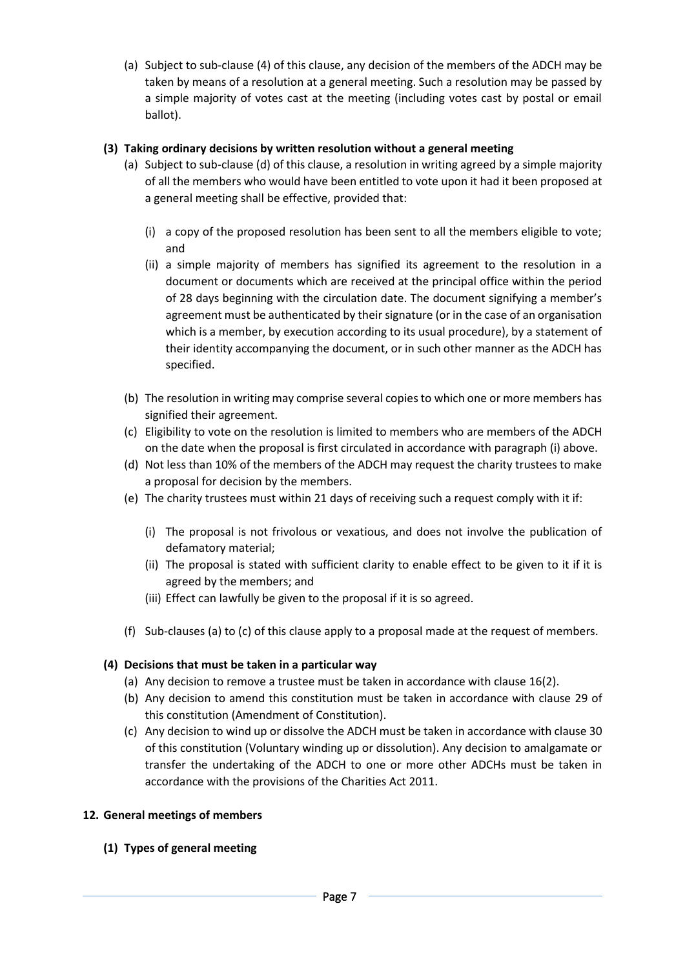(a) Subject to sub-clause (4) of this clause, any decision of the members of the ADCH may be taken by means of a resolution at a general meeting. Such a resolution may be passed by a simple majority of votes cast at the meeting (including votes cast by postal or email ballot).

### **(3) Taking ordinary decisions by written resolution without a general meeting**

- (a) Subject to sub-clause (d) of this clause, a resolution in writing agreed by a simple majority of all the members who would have been entitled to vote upon it had it been proposed at a general meeting shall be effective, provided that:
	- (i) a copy of the proposed resolution has been sent to all the members eligible to vote; and
	- (ii) a simple majority of members has signified its agreement to the resolution in a document or documents which are received at the principal office within the period of 28 days beginning with the circulation date. The document signifying a member's agreement must be authenticated by their signature (or in the case of an organisation which is a member, by execution according to its usual procedure), by a statement of their identity accompanying the document, or in such other manner as the ADCH has specified.
- (b) The resolution in writing may comprise several copies to which one or more members has signified their agreement.
- (c) Eligibility to vote on the resolution is limited to members who are members of the ADCH on the date when the proposal is first circulated in accordance with paragraph (i) above.
- (d) Not less than 10% of the members of the ADCH may request the charity trustees to make a proposal for decision by the members.
- (e) The charity trustees must within 21 days of receiving such a request comply with it if:
	- (i) The proposal is not frivolous or vexatious, and does not involve the publication of defamatory material;
	- (ii) The proposal is stated with sufficient clarity to enable effect to be given to it if it is agreed by the members; and
	- (iii) Effect can lawfully be given to the proposal if it is so agreed.
- (f) Sub-clauses (a) to (c) of this clause apply to a proposal made at the request of members.

#### **(4) Decisions that must be taken in a particular way**

- (a) Any decision to remove a trustee must be taken in accordance with clause 16(2).
- (b) Any decision to amend this constitution must be taken in accordance with clause 29 of this constitution (Amendment of Constitution).
- (c) Any decision to wind up or dissolve the ADCH must be taken in accordance with clause 30 of this constitution (Voluntary winding up or dissolution). Any decision to amalgamate or transfer the undertaking of the ADCH to one or more other ADCHs must be taken in accordance with the provisions of the Charities Act 2011.

#### **12. General meetings of members**

**(1) Types of general meeting**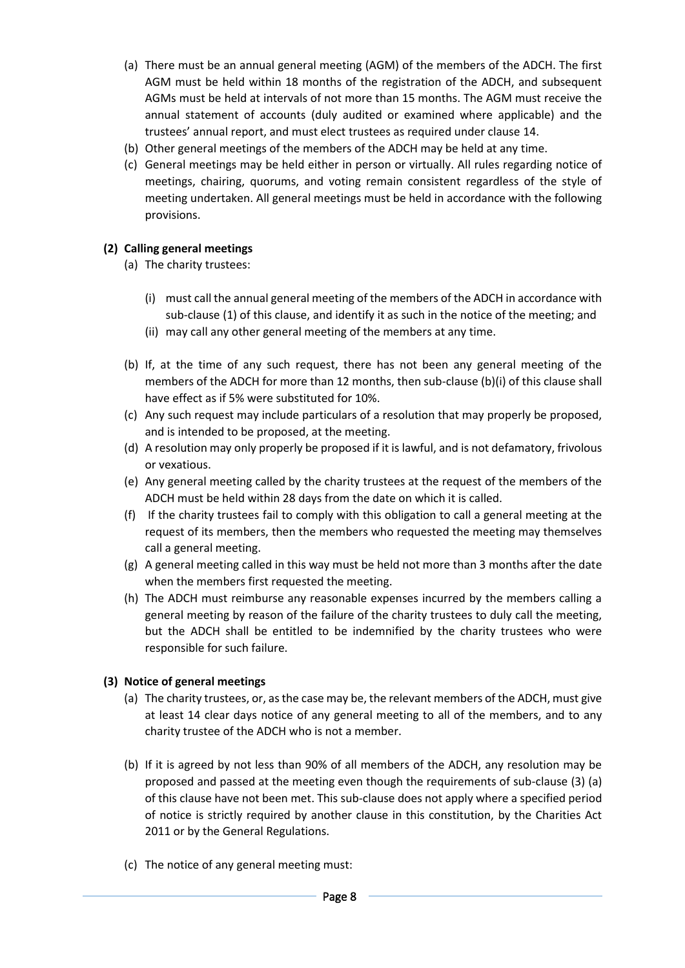- (a) There must be an annual general meeting (AGM) of the members of the ADCH. The first AGM must be held within 18 months of the registration of the ADCH, and subsequent AGMs must be held at intervals of not more than 15 months. The AGM must receive the annual statement of accounts (duly audited or examined where applicable) and the trustees' annual report, and must elect trustees as required under clause 14.
- (b) Other general meetings of the members of the ADCH may be held at any time.
- (c) General meetings may be held either in person or virtually. All rules regarding notice of meetings, chairing, quorums, and voting remain consistent regardless of the style of meeting undertaken. All general meetings must be held in accordance with the following provisions.

### **(2) Calling general meetings**

- (a) The charity trustees:
	- (i) must call the annual general meeting of the members of the ADCH in accordance with sub-clause (1) of this clause, and identify it as such in the notice of the meeting; and
	- (ii) may call any other general meeting of the members at any time.
- (b) If, at the time of any such request, there has not been any general meeting of the members of the ADCH for more than 12 months, then sub-clause (b)(i) of this clause shall have effect as if 5% were substituted for 10%.
- (c) Any such request may include particulars of a resolution that may properly be proposed, and is intended to be proposed, at the meeting.
- (d) A resolution may only properly be proposed if it is lawful, and is not defamatory, frivolous or vexatious.
- (e) Any general meeting called by the charity trustees at the request of the members of the ADCH must be held within 28 days from the date on which it is called.
- (f) If the charity trustees fail to comply with this obligation to call a general meeting at the request of its members, then the members who requested the meeting may themselves call a general meeting.
- (g) A general meeting called in this way must be held not more than 3 months after the date when the members first requested the meeting.
- (h) The ADCH must reimburse any reasonable expenses incurred by the members calling a general meeting by reason of the failure of the charity trustees to duly call the meeting, but the ADCH shall be entitled to be indemnified by the charity trustees who were responsible for such failure.

#### **(3) Notice of general meetings**

- (a) The charity trustees, or, as the case may be, the relevant members of the ADCH, must give at least 14 clear days notice of any general meeting to all of the members, and to any charity trustee of the ADCH who is not a member.
- (b) If it is agreed by not less than 90% of all members of the ADCH, any resolution may be proposed and passed at the meeting even though the requirements of sub-clause (3) (a) of this clause have not been met. This sub-clause does not apply where a specified period of notice is strictly required by another clause in this constitution, by the Charities Act 2011 or by the General Regulations.
- (c) The notice of any general meeting must: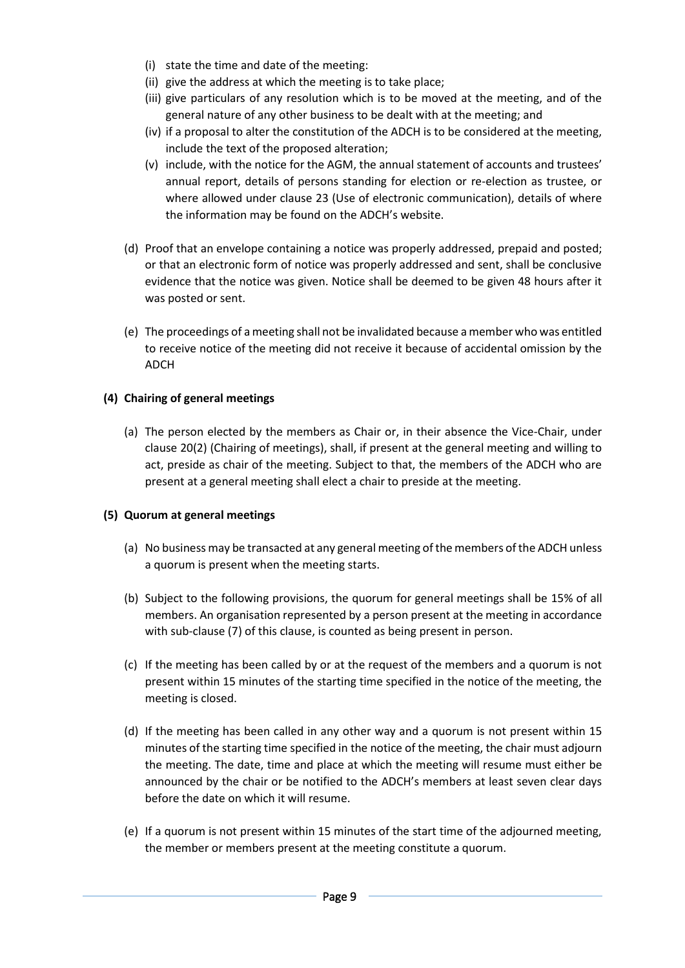- (i) state the time and date of the meeting:
- (ii) give the address at which the meeting is to take place;
- (iii) give particulars of any resolution which is to be moved at the meeting, and of the general nature of any other business to be dealt with at the meeting; and
- (iv) if a proposal to alter the constitution of the ADCH is to be considered at the meeting, include the text of the proposed alteration;
- (v) include, with the notice for the AGM, the annual statement of accounts and trustees' annual report, details of persons standing for election or re-election as trustee, or where allowed under clause 23 (Use of electronic communication), details of where the information may be found on the ADCH's website.
- (d) Proof that an envelope containing a notice was properly addressed, prepaid and posted; or that an electronic form of notice was properly addressed and sent, shall be conclusive evidence that the notice was given. Notice shall be deemed to be given 48 hours after it was posted or sent.
- (e) The proceedings of a meeting shall not be invalidated because a member who was entitled to receive notice of the meeting did not receive it because of accidental omission by the ADCH

### **(4) Chairing of general meetings**

(a) The person elected by the members as Chair or, in their absence the Vice-Chair, under clause 20(2) (Chairing of meetings), shall, if present at the general meeting and willing to act, preside as chair of the meeting. Subject to that, the members of the ADCH who are present at a general meeting shall elect a chair to preside at the meeting.

#### **(5) Quorum at general meetings**

- (a) No business may be transacted at any general meeting of the members of the ADCH unless a quorum is present when the meeting starts.
- (b) Subject to the following provisions, the quorum for general meetings shall be 15% of all members. An organisation represented by a person present at the meeting in accordance with sub-clause (7) of this clause, is counted as being present in person.
- (c) If the meeting has been called by or at the request of the members and a quorum is not present within 15 minutes of the starting time specified in the notice of the meeting, the meeting is closed.
- (d) If the meeting has been called in any other way and a quorum is not present within 15 minutes of the starting time specified in the notice of the meeting, the chair must adjourn the meeting. The date, time and place at which the meeting will resume must either be announced by the chair or be notified to the ADCH's members at least seven clear days before the date on which it will resume.
- (e) If a quorum is not present within 15 minutes of the start time of the adjourned meeting, the member or members present at the meeting constitute a quorum.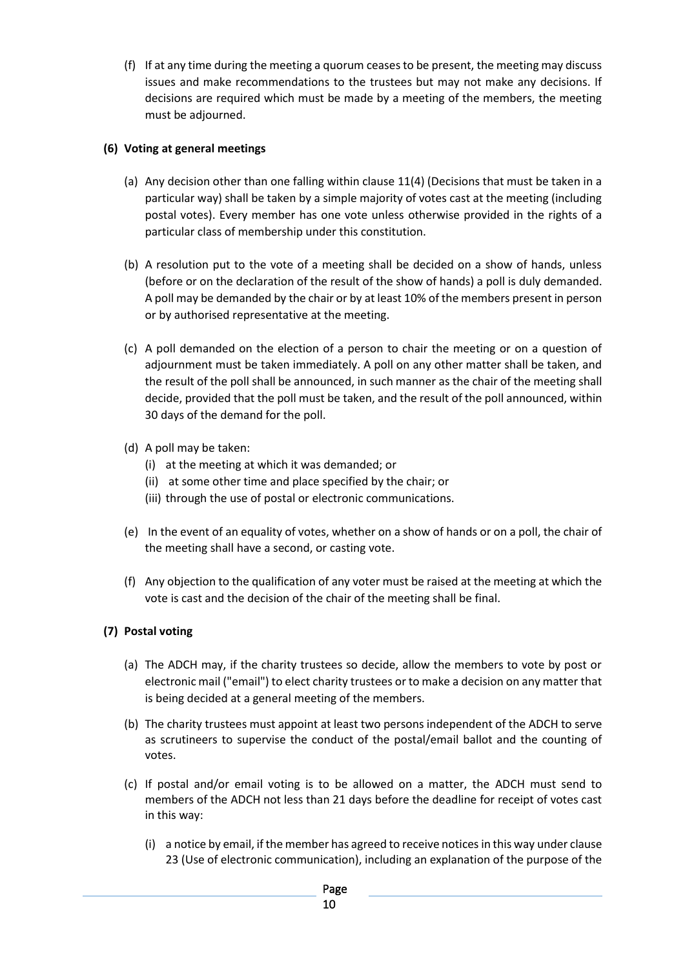(f) If at any time during the meeting a quorum ceases to be present, the meeting may discuss issues and make recommendations to the trustees but may not make any decisions. If decisions are required which must be made by a meeting of the members, the meeting must be adjourned.

### **(6) Voting at general meetings**

- (a) Any decision other than one falling within clause 11(4) (Decisions that must be taken in a particular way) shall be taken by a simple majority of votes cast at the meeting (including postal votes). Every member has one vote unless otherwise provided in the rights of a particular class of membership under this constitution.
- (b) A resolution put to the vote of a meeting shall be decided on a show of hands, unless (before or on the declaration of the result of the show of hands) a poll is duly demanded. A poll may be demanded by the chair or by at least 10% of the members present in person or by authorised representative at the meeting.
- (c) A poll demanded on the election of a person to chair the meeting or on a question of adjournment must be taken immediately. A poll on any other matter shall be taken, and the result of the poll shall be announced, in such manner as the chair of the meeting shall decide, provided that the poll must be taken, and the result of the poll announced, within 30 days of the demand for the poll.
- (d) A poll may be taken:
	- (i) at the meeting at which it was demanded; or
	- (ii) at some other time and place specified by the chair; or
	- (iii) through the use of postal or electronic communications.
- (e) In the event of an equality of votes, whether on a show of hands or on a poll, the chair of the meeting shall have a second, or casting vote.
- (f) Any objection to the qualification of any voter must be raised at the meeting at which the vote is cast and the decision of the chair of the meeting shall be final.

# **(7) Postal voting**

- (a) The ADCH may, if the charity trustees so decide, allow the members to vote by post or electronic mail ("email") to elect charity trustees or to make a decision on any matter that is being decided at a general meeting of the members.
- (b) The charity trustees must appoint at least two persons independent of the ADCH to serve as scrutineers to supervise the conduct of the postal/email ballot and the counting of votes.
- (c) If postal and/or email voting is to be allowed on a matter, the ADCH must send to members of the ADCH not less than 21 days before the deadline for receipt of votes cast in this way:
	- (i) a notice by email, if the member has agreed to receive notices in this way under clause 23 (Use of electronic communication), including an explanation of the purpose of the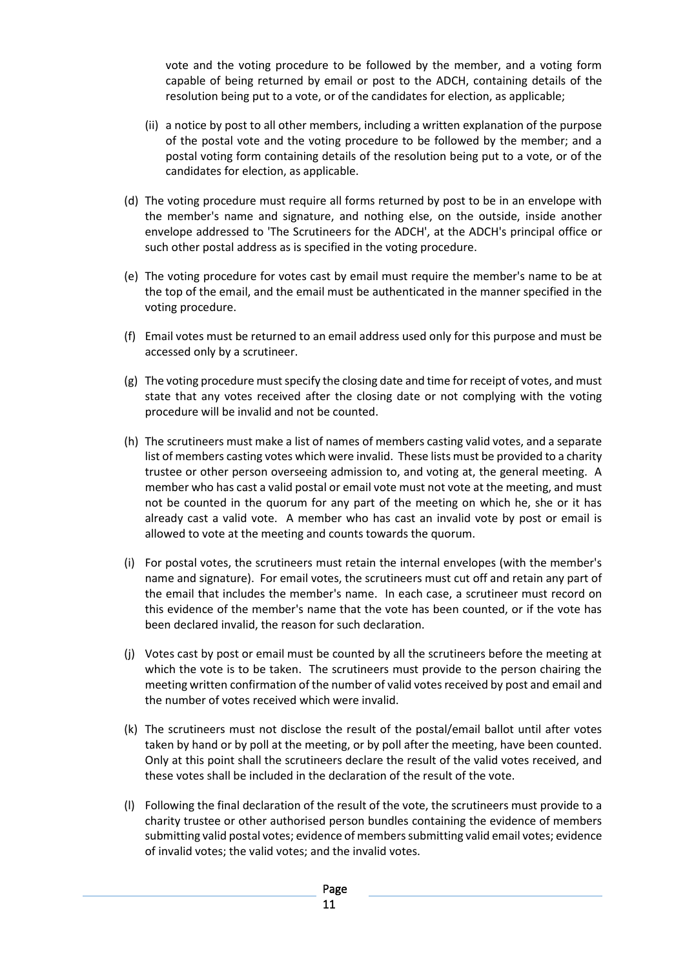vote and the voting procedure to be followed by the member, and a voting form capable of being returned by email or post to the ADCH, containing details of the resolution being put to a vote, or of the candidates for election, as applicable;

- (ii) a notice by post to all other members, including a written explanation of the purpose of the postal vote and the voting procedure to be followed by the member; and a postal voting form containing details of the resolution being put to a vote, or of the candidates for election, as applicable.
- (d) The voting procedure must require all forms returned by post to be in an envelope with the member's name and signature, and nothing else, on the outside, inside another envelope addressed to 'The Scrutineers for the ADCH', at the ADCH's principal office or such other postal address as is specified in the voting procedure.
- (e) The voting procedure for votes cast by email must require the member's name to be at the top of the email, and the email must be authenticated in the manner specified in the voting procedure.
- (f) Email votes must be returned to an email address used only for this purpose and must be accessed only by a scrutineer.
- (g) The voting procedure must specify the closing date and time for receipt of votes, and must state that any votes received after the closing date or not complying with the voting procedure will be invalid and not be counted.
- (h) The scrutineers must make a list of names of members casting valid votes, and a separate list of members casting votes which were invalid. These lists must be provided to a charity trustee or other person overseeing admission to, and voting at, the general meeting. A member who has cast a valid postal or email vote must not vote at the meeting, and must not be counted in the quorum for any part of the meeting on which he, she or it has already cast a valid vote. A member who has cast an invalid vote by post or email is allowed to vote at the meeting and counts towards the quorum.
- (i) For postal votes, the scrutineers must retain the internal envelopes (with the member's name and signature). For email votes, the scrutineers must cut off and retain any part of the email that includes the member's name. In each case, a scrutineer must record on this evidence of the member's name that the vote has been counted, or if the vote has been declared invalid, the reason for such declaration.
- (j) Votes cast by post or email must be counted by all the scrutineers before the meeting at which the vote is to be taken. The scrutineers must provide to the person chairing the meeting written confirmation of the number of valid votes received by post and email and the number of votes received which were invalid.
- (k) The scrutineers must not disclose the result of the postal/email ballot until after votes taken by hand or by poll at the meeting, or by poll after the meeting, have been counted. Only at this point shall the scrutineers declare the result of the valid votes received, and these votes shall be included in the declaration of the result of the vote.
- (l) Following the final declaration of the result of the vote, the scrutineers must provide to a charity trustee or other authorised person bundles containing the evidence of members submitting valid postal votes; evidence of members submitting valid email votes; evidence of invalid votes; the valid votes; and the invalid votes.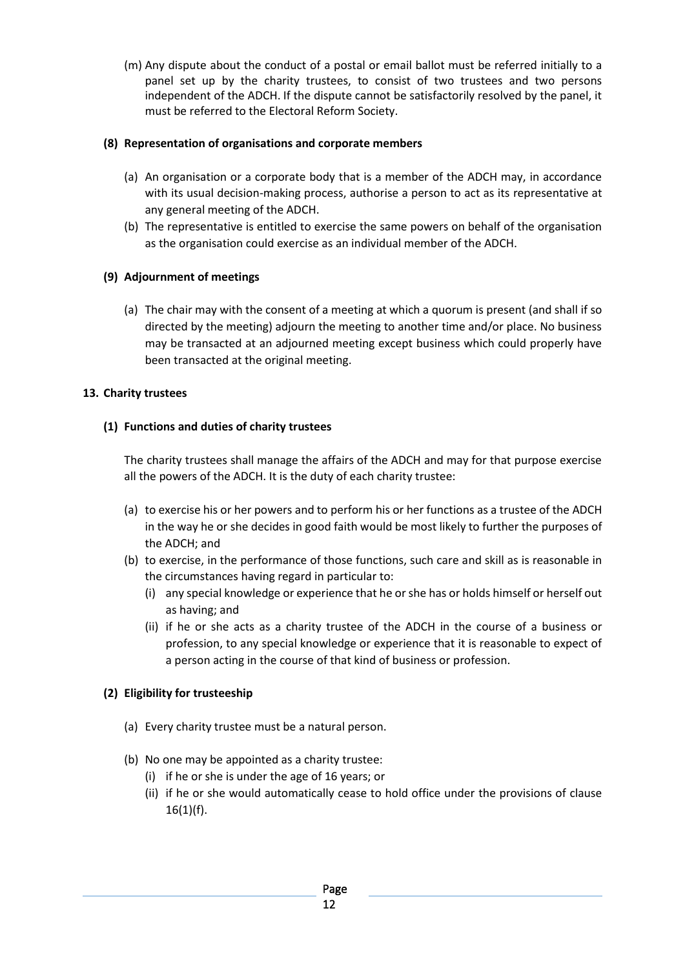(m) Any dispute about the conduct of a postal or email ballot must be referred initially to a panel set up by the charity trustees, to consist of two trustees and two persons independent of the ADCH. If the dispute cannot be satisfactorily resolved by the panel, it must be referred to the Electoral Reform Society.

### **(8) Representation of organisations and corporate members**

- (a) An organisation or a corporate body that is a member of the ADCH may, in accordance with its usual decision-making process, authorise a person to act as its representative at any general meeting of the ADCH.
- (b) The representative is entitled to exercise the same powers on behalf of the organisation as the organisation could exercise as an individual member of the ADCH.

### **(9) Adjournment of meetings**

(a) The chair may with the consent of a meeting at which a quorum is present (and shall if so directed by the meeting) adjourn the meeting to another time and/or place. No business may be transacted at an adjourned meeting except business which could properly have been transacted at the original meeting.

### **13. Charity trustees**

### **(1) Functions and duties of charity trustees**

The charity trustees shall manage the affairs of the ADCH and may for that purpose exercise all the powers of the ADCH. It is the duty of each charity trustee:

- (a) to exercise his or her powers and to perform his or her functions as a trustee of the ADCH in the way he or she decides in good faith would be most likely to further the purposes of the ADCH; and
- (b) to exercise, in the performance of those functions, such care and skill as is reasonable in the circumstances having regard in particular to:
	- (i) any special knowledge or experience that he or she has or holds himself or herself out as having; and
	- (ii) if he or she acts as a charity trustee of the ADCH in the course of a business or profession, to any special knowledge or experience that it is reasonable to expect of a person acting in the course of that kind of business or profession.

### **(2) Eligibility for trusteeship**

- (a) Every charity trustee must be a natural person.
- (b) No one may be appointed as a charity trustee:
	- (i) if he or she is under the age of 16 years; or
	- (ii) if he or she would automatically cease to hold office under the provisions of clause  $16(1)(f)$ .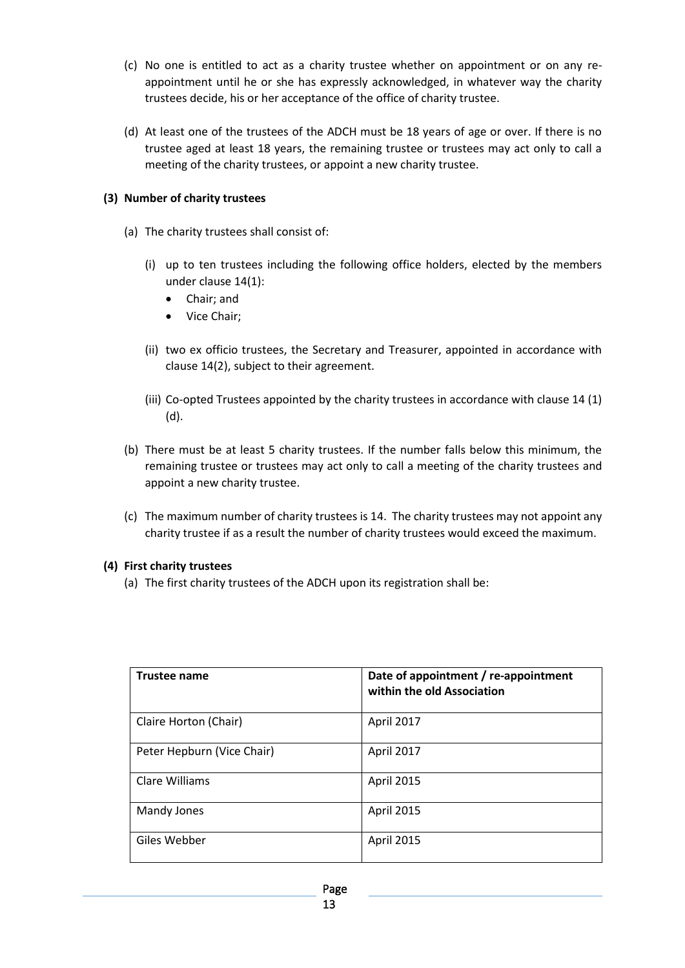- (c) No one is entitled to act as a charity trustee whether on appointment or on any reappointment until he or she has expressly acknowledged, in whatever way the charity trustees decide, his or her acceptance of the office of charity trustee.
- (d) At least one of the trustees of the ADCH must be 18 years of age or over. If there is no trustee aged at least 18 years, the remaining trustee or trustees may act only to call a meeting of the charity trustees, or appoint a new charity trustee.

#### **(3) Number of charity trustees**

- (a) The charity trustees shall consist of:
	- (i) up to ten trustees including the following office holders, elected by the members under clause 14(1):
		- Chair; and
		- Vice Chair;
	- (ii) two ex officio trustees, the Secretary and Treasurer, appointed in accordance with clause 14(2), subject to their agreement.
	- (iii) Co-opted Trustees appointed by the charity trustees in accordance with clause 14 (1) (d).
- (b) There must be at least 5 charity trustees. If the number falls below this minimum, the remaining trustee or trustees may act only to call a meeting of the charity trustees and appoint a new charity trustee.
- (c) The maximum number of charity trustees is 14. The charity trustees may not appoint any charity trustee if as a result the number of charity trustees would exceed the maximum.

#### **(4) First charity trustees**

(a) The first charity trustees of the ADCH upon its registration shall be:

| <b>Trustee name</b>        | Date of appointment / re-appointment<br>within the old Association |
|----------------------------|--------------------------------------------------------------------|
| Claire Horton (Chair)      | April 2017                                                         |
| Peter Hepburn (Vice Chair) | April 2017                                                         |
| Clare Williams             | April 2015                                                         |
| Mandy Jones                | April 2015                                                         |
| Giles Webber               | April 2015                                                         |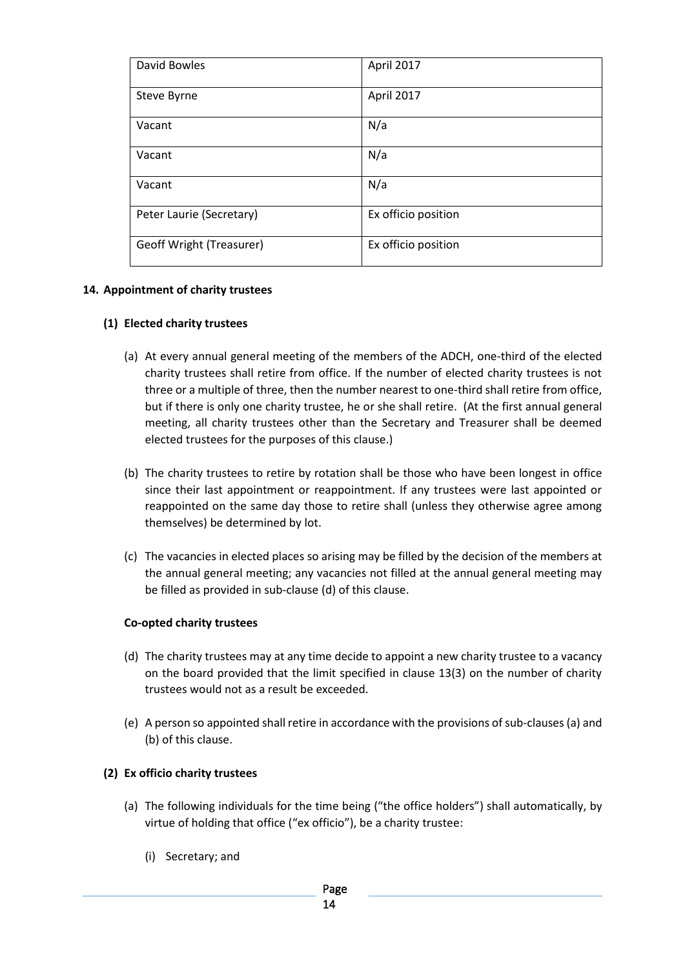| David Bowles                    | April 2017          |
|---------------------------------|---------------------|
| Steve Byrne                     | April 2017          |
| Vacant                          | N/a                 |
| Vacant                          | N/a                 |
| Vacant                          | N/a                 |
| Peter Laurie (Secretary)        | Ex officio position |
| <b>Geoff Wright (Treasurer)</b> | Ex officio position |

#### **14. Appointment of charity trustees**

#### **(1) Elected charity trustees**

- (a) At every annual general meeting of the members of the ADCH, one-third of the elected charity trustees shall retire from office. If the number of elected charity trustees is not three or a multiple of three, then the number nearest to one-third shall retire from office, but if there is only one charity trustee, he or she shall retire. (At the first annual general meeting, all charity trustees other than the Secretary and Treasurer shall be deemed elected trustees for the purposes of this clause.)
- (b) The charity trustees to retire by rotation shall be those who have been longest in office since their last appointment or reappointment. If any trustees were last appointed or reappointed on the same day those to retire shall (unless they otherwise agree among themselves) be determined by lot.
- (c) The vacancies in elected places so arising may be filled by the decision of the members at the annual general meeting; any vacancies not filled at the annual general meeting may be filled as provided in sub-clause (d) of this clause.

#### **Co-opted charity trustees**

- (d) The charity trustees may at any time decide to appoint a new charity trustee to a vacancy on the board provided that the limit specified in clause 13(3) on the number of charity trustees would not as a result be exceeded.
- (e) A person so appointed shall retire in accordance with the provisions of sub-clauses (a) and (b) of this clause.

#### **(2) Ex officio charity trustees**

- (a) The following individuals for the time being ("the office holders") shall automatically, by virtue of holding that office ("ex officio"), be a charity trustee:
	- (i) Secretary; and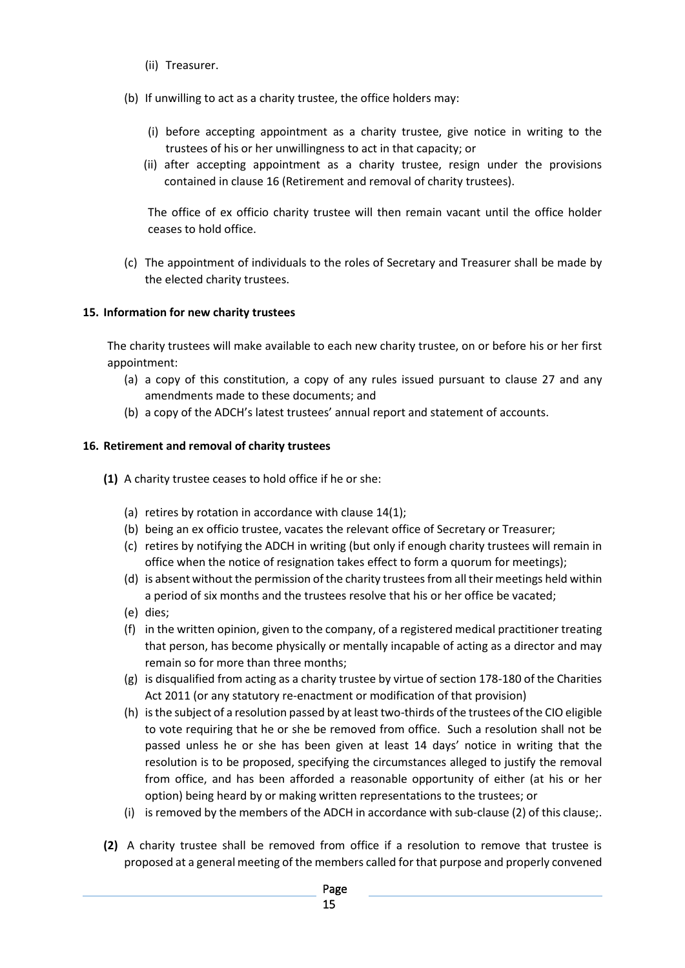- (ii) Treasurer.
- (b) If unwilling to act as a charity trustee, the office holders may:
	- (i) before accepting appointment as a charity trustee, give notice in writing to the trustees of his or her unwillingness to act in that capacity; or
	- (ii) after accepting appointment as a charity trustee, resign under the provisions contained in clause 16 (Retirement and removal of charity trustees).

The office of ex officio charity trustee will then remain vacant until the office holder ceases to hold office.

(c) The appointment of individuals to the roles of Secretary and Treasurer shall be made by the elected charity trustees.

### **15. Information for new charity trustees**

The charity trustees will make available to each new charity trustee, on or before his or her first appointment:

- (a) a copy of this constitution, a copy of any rules issued pursuant to clause 27 and any amendments made to these documents; and
- (b) a copy of the ADCH's latest trustees' annual report and statement of accounts.

### **16. Retirement and removal of charity trustees**

- **(1)** A charity trustee ceases to hold office if he or she:
	- (a) retires by rotation in accordance with clause 14(1);
	- (b) being an ex officio trustee, vacates the relevant office of Secretary or Treasurer;
	- (c) retires by notifying the ADCH in writing (but only if enough charity trustees will remain in office when the notice of resignation takes effect to form a quorum for meetings);
	- (d) is absent without the permission of the charity trustees from all their meetings held within a period of six months and the trustees resolve that his or her office be vacated;
	- (e) dies;
	- (f) in the written opinion, given to the company, of a registered medical practitioner treating that person, has become physically or mentally incapable of acting as a director and may remain so for more than three months;
	- (g) is disqualified from acting as a charity trustee by virtue of section 178-180 of the Charities Act 2011 (or any statutory re-enactment or modification of that provision)
	- (h) is the subject of a resolution passed by at least two-thirds of the trustees of the CIO eligible to vote requiring that he or she be removed from office. Such a resolution shall not be passed unless he or she has been given at least 14 days' notice in writing that the resolution is to be proposed, specifying the circumstances alleged to justify the removal from office, and has been afforded a reasonable opportunity of either (at his or her option) being heard by or making written representations to the trustees; or
	- (i) is removed by the members of the ADCH in accordance with sub-clause (2) of this clause;.
- **(2)** A charity trustee shall be removed from office if a resolution to remove that trustee is proposed at a general meeting of the members called for that purpose and properly convened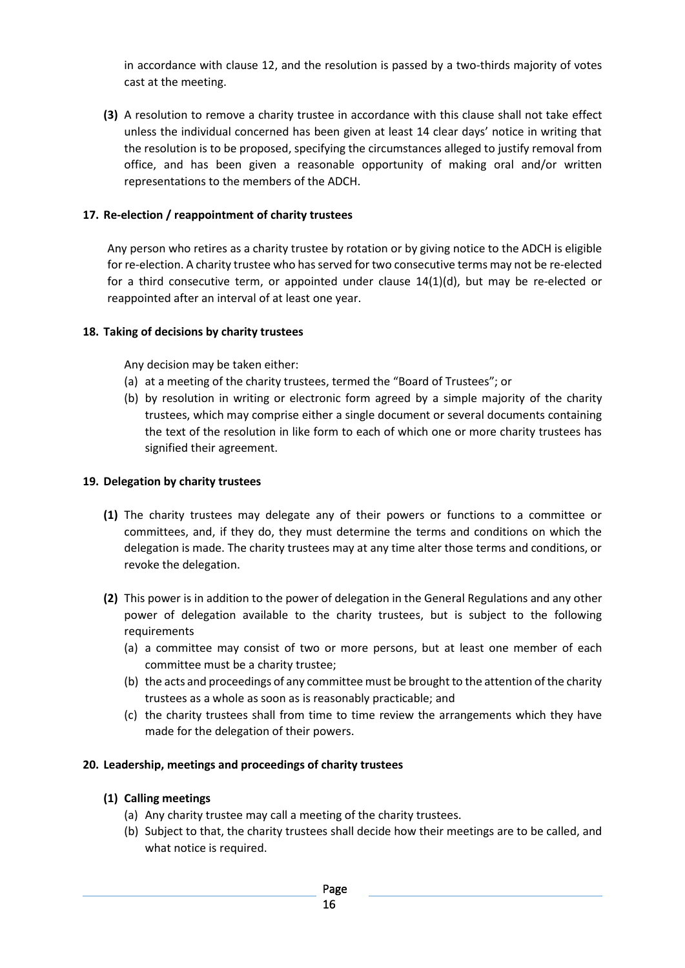in accordance with clause 12, and the resolution is passed by a two-thirds majority of votes cast at the meeting.

**(3)** A resolution to remove a charity trustee in accordance with this clause shall not take effect unless the individual concerned has been given at least 14 clear days' notice in writing that the resolution is to be proposed, specifying the circumstances alleged to justify removal from office, and has been given a reasonable opportunity of making oral and/or written representations to the members of the ADCH.

### **17. Re-election / reappointment of charity trustees**

Any person who retires as a charity trustee by rotation or by giving notice to the ADCH is eligible for re-election. A charity trustee who has served for two consecutive terms may not be re-elected for a third consecutive term, or appointed under clause 14(1)(d), but may be re-elected or reappointed after an interval of at least one year.

#### **18. Taking of decisions by charity trustees**

Any decision may be taken either:

- (a) at a meeting of the charity trustees, termed the "Board of Trustees"; or
- (b) by resolution in writing or electronic form agreed by a simple majority of the charity trustees, which may comprise either a single document or several documents containing the text of the resolution in like form to each of which one or more charity trustees has signified their agreement.

#### **19. Delegation by charity trustees**

- **(1)** The charity trustees may delegate any of their powers or functions to a committee or committees, and, if they do, they must determine the terms and conditions on which the delegation is made. The charity trustees may at any time alter those terms and conditions, or revoke the delegation.
- **(2)** This power is in addition to the power of delegation in the General Regulations and any other power of delegation available to the charity trustees, but is subject to the following requirements
	- (a) a committee may consist of two or more persons, but at least one member of each committee must be a charity trustee;
	- (b) the acts and proceedings of any committee must be brought to the attention of the charity trustees as a whole as soon as is reasonably practicable; and
	- (c) the charity trustees shall from time to time review the arrangements which they have made for the delegation of their powers.

#### **20. Leadership, meetings and proceedings of charity trustees**

#### **(1) Calling meetings**

- (a) Any charity trustee may call a meeting of the charity trustees.
- (b) Subject to that, the charity trustees shall decide how their meetings are to be called, and what notice is required.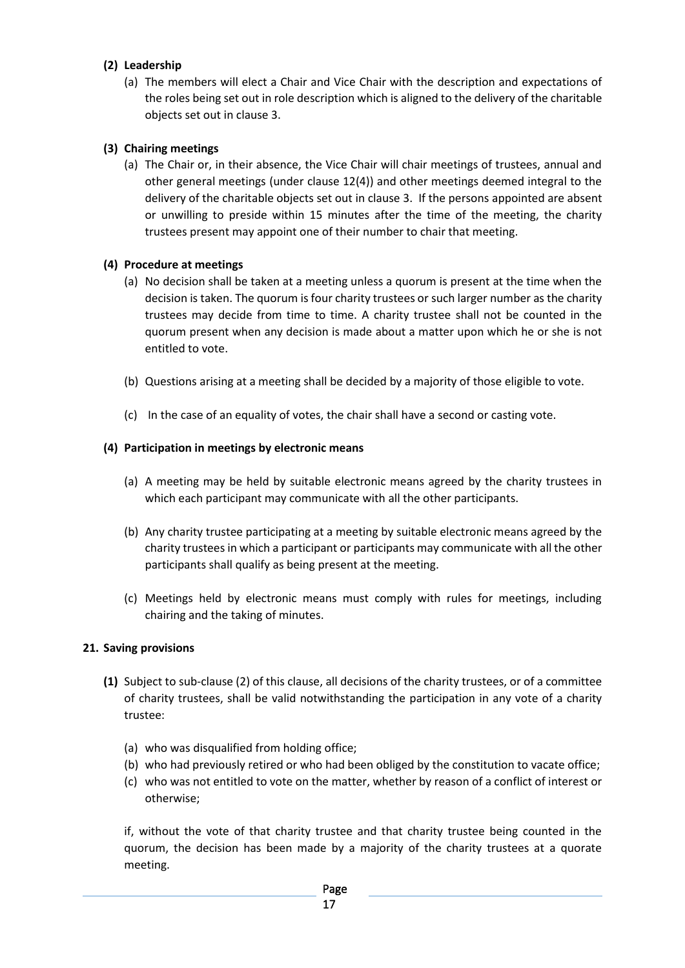### **(2) Leadership**

(a) The members will elect a Chair and Vice Chair with the description and expectations of the roles being set out in role description which is aligned to the delivery of the charitable objects set out in clause 3.

### **(3) Chairing meetings**

(a) The Chair or, in their absence, the Vice Chair will chair meetings of trustees, annual and other general meetings (under clause 12(4)) and other meetings deemed integral to the delivery of the charitable objects set out in clause 3. If the persons appointed are absent or unwilling to preside within 15 minutes after the time of the meeting, the charity trustees present may appoint one of their number to chair that meeting.

#### **(4) Procedure at meetings**

- (a) No decision shall be taken at a meeting unless a quorum is present at the time when the decision is taken. The quorum is four charity trustees or such larger number as the charity trustees may decide from time to time. A charity trustee shall not be counted in the quorum present when any decision is made about a matter upon which he or she is not entitled to vote.
- (b) Questions arising at a meeting shall be decided by a majority of those eligible to vote.
- (c) In the case of an equality of votes, the chair shall have a second or casting vote.

### **(4) Participation in meetings by electronic means**

- (a) A meeting may be held by suitable electronic means agreed by the charity trustees in which each participant may communicate with all the other participants.
- (b) Any charity trustee participating at a meeting by suitable electronic means agreed by the charity trustees in which a participant or participants may communicate with all the other participants shall qualify as being present at the meeting.
- (c) Meetings held by electronic means must comply with rules for meetings, including chairing and the taking of minutes.

#### **21. Saving provisions**

- **(1)** Subject to sub-clause (2) of this clause, all decisions of the charity trustees, or of a committee of charity trustees, shall be valid notwithstanding the participation in any vote of a charity trustee:
	- (a) who was disqualified from holding office;
	- (b) who had previously retired or who had been obliged by the constitution to vacate office;
	- (c) who was not entitled to vote on the matter, whether by reason of a conflict of interest or otherwise;

if, without the vote of that charity trustee and that charity trustee being counted in the quorum, the decision has been made by a majority of the charity trustees at a quorate meeting.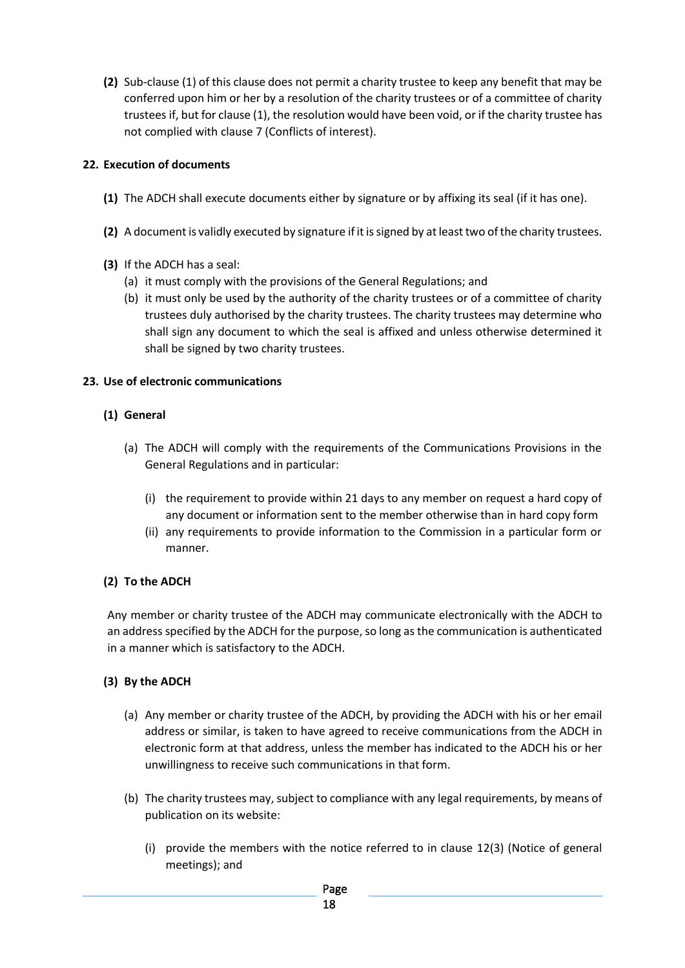**(2)** Sub-clause (1) of this clause does not permit a charity trustee to keep any benefit that may be conferred upon him or her by a resolution of the charity trustees or of a committee of charity trustees if, but for clause (1), the resolution would have been void, or if the charity trustee has not complied with clause 7 (Conflicts of interest).

### **22. Execution of documents**

- **(1)** The ADCH shall execute documents either by signature or by affixing its seal (if it has one).
- **(2)** A document is validly executed by signature if it is signed by at least two of the charity trustees.
- **(3)** If the ADCH has a seal:
	- (a) it must comply with the provisions of the General Regulations; and
	- (b) it must only be used by the authority of the charity trustees or of a committee of charity trustees duly authorised by the charity trustees. The charity trustees may determine who shall sign any document to which the seal is affixed and unless otherwise determined it shall be signed by two charity trustees.

#### **23. Use of electronic communications**

#### **(1) General**

- (a) The ADCH will comply with the requirements of the Communications Provisions in the General Regulations and in particular:
	- (i) the requirement to provide within 21 days to any member on request a hard copy of any document or information sent to the member otherwise than in hard copy form
	- (ii) any requirements to provide information to the Commission in a particular form or manner.

### **(2) To the ADCH**

Any member or charity trustee of the ADCH may communicate electronically with the ADCH to an address specified by the ADCH for the purpose, so long as the communication is authenticated in a manner which is satisfactory to the ADCH.

### **(3) By the ADCH**

- (a) Any member or charity trustee of the ADCH, by providing the ADCH with his or her email address or similar, is taken to have agreed to receive communications from the ADCH in electronic form at that address, unless the member has indicated to the ADCH his or her unwillingness to receive such communications in that form.
- (b) The charity trustees may, subject to compliance with any legal requirements, by means of publication on its website:
	- (i) provide the members with the notice referred to in clause 12(3) (Notice of general meetings); and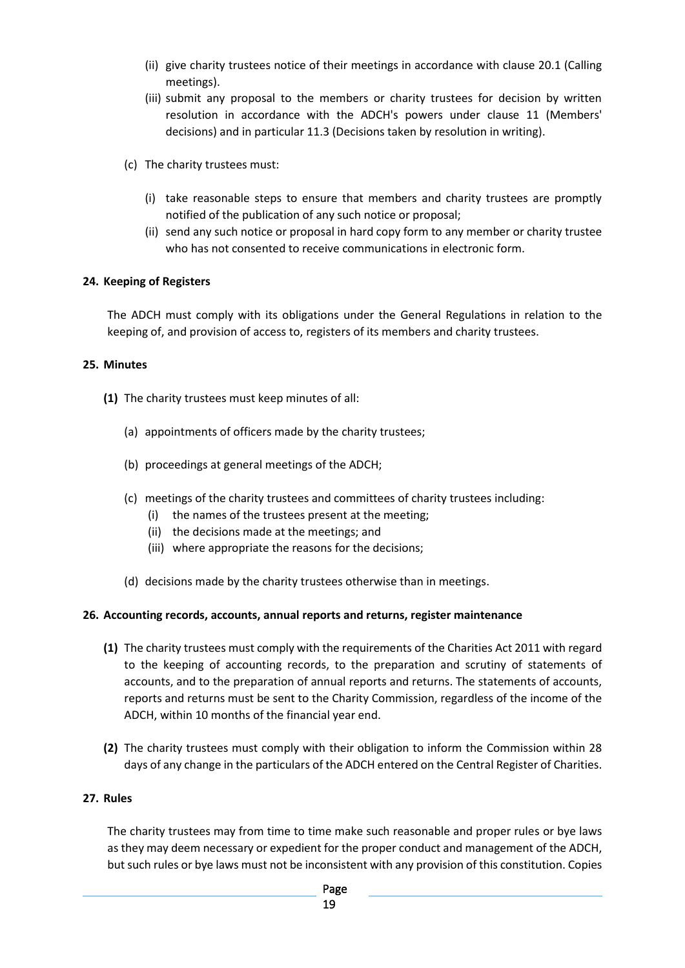- (ii) give charity trustees notice of their meetings in accordance with clause 20.1 (Calling meetings).
- (iii) submit any proposal to the members or charity trustees for decision by written resolution in accordance with the ADCH's powers under clause 11 (Members' decisions) and in particular 11.3 (Decisions taken by resolution in writing).
- (c) The charity trustees must:
	- (i) take reasonable steps to ensure that members and charity trustees are promptly notified of the publication of any such notice or proposal;
	- (ii) send any such notice or proposal in hard copy form to any member or charity trustee who has not consented to receive communications in electronic form.

### **24. Keeping of Registers**

The ADCH must comply with its obligations under the General Regulations in relation to the keeping of, and provision of access to, registers of its members and charity trustees.

#### **25. Minutes**

- **(1)** The charity trustees must keep minutes of all:
	- (a) appointments of officers made by the charity trustees;
	- (b) proceedings at general meetings of the ADCH;
	- (c) meetings of the charity trustees and committees of charity trustees including:
		- (i) the names of the trustees present at the meeting;
		- (ii) the decisions made at the meetings; and
		- (iii) where appropriate the reasons for the decisions;
	- (d) decisions made by the charity trustees otherwise than in meetings.

#### **26. Accounting records, accounts, annual reports and returns, register maintenance**

- **(1)** The charity trustees must comply with the requirements of the Charities Act 2011 with regard to the keeping of accounting records, to the preparation and scrutiny of statements of accounts, and to the preparation of annual reports and returns. The statements of accounts, reports and returns must be sent to the Charity Commission, regardless of the income of the ADCH, within 10 months of the financial year end.
- **(2)** The charity trustees must comply with their obligation to inform the Commission within 28 days of any change in the particulars of the ADCH entered on the Central Register of Charities.

### **27. Rules**

The charity trustees may from time to time make such reasonable and proper rules or bye laws as they may deem necessary or expedient for the proper conduct and management of the ADCH, but such rules or bye laws must not be inconsistent with any provision of this constitution. Copies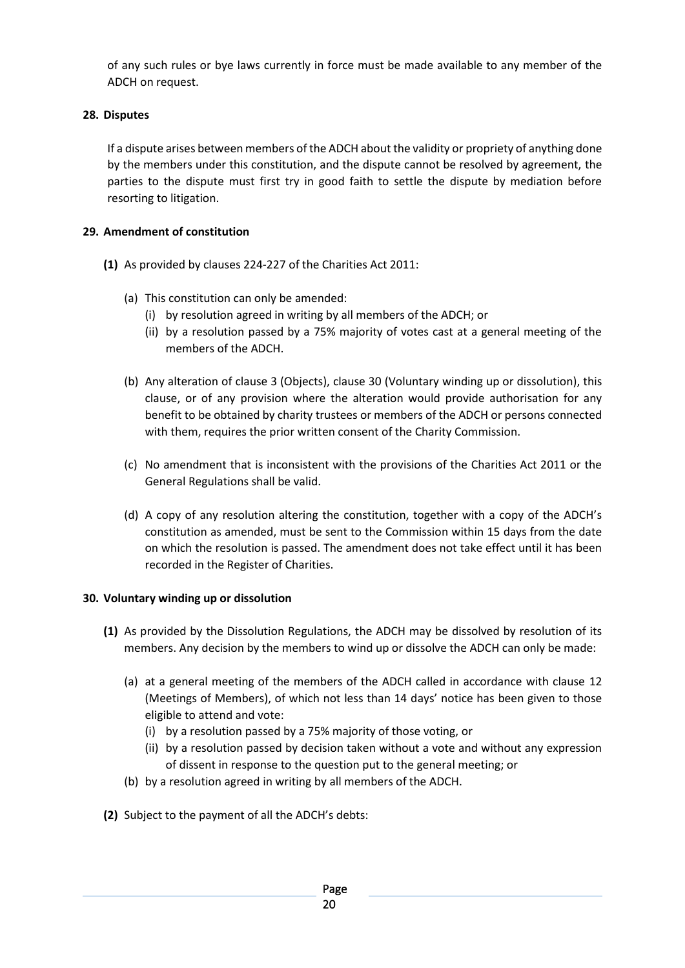of any such rules or bye laws currently in force must be made available to any member of the ADCH on request.

### **28. Disputes**

If a dispute arises between members of the ADCH about the validity or propriety of anything done by the members under this constitution, and the dispute cannot be resolved by agreement, the parties to the dispute must first try in good faith to settle the dispute by mediation before resorting to litigation.

### **29. Amendment of constitution**

- **(1)** As provided by clauses 224-227 of the Charities Act 2011:
	- (a) This constitution can only be amended:
		- (i) by resolution agreed in writing by all members of the ADCH; or
		- (ii) by a resolution passed by a 75% majority of votes cast at a general meeting of the members of the ADCH.
	- (b) Any alteration of clause 3 (Objects), clause 30 (Voluntary winding up or dissolution), this clause, or of any provision where the alteration would provide authorisation for any benefit to be obtained by charity trustees or members of the ADCH or persons connected with them, requires the prior written consent of the Charity Commission.
	- (c) No amendment that is inconsistent with the provisions of the Charities Act 2011 or the General Regulations shall be valid.
	- (d) A copy of any resolution altering the constitution, together with a copy of the ADCH's constitution as amended, must be sent to the Commission within 15 days from the date on which the resolution is passed. The amendment does not take effect until it has been recorded in the Register of Charities.

#### **30. Voluntary winding up or dissolution**

- **(1)** As provided by the Dissolution Regulations, the ADCH may be dissolved by resolution of its members. Any decision by the members to wind up or dissolve the ADCH can only be made:
	- (a) at a general meeting of the members of the ADCH called in accordance with clause 12 (Meetings of Members), of which not less than 14 days' notice has been given to those eligible to attend and vote:
		- (i) by a resolution passed by a 75% majority of those voting, or
		- (ii) by a resolution passed by decision taken without a vote and without any expression of dissent in response to the question put to the general meeting; or
	- (b) by a resolution agreed in writing by all members of the ADCH.
- **(2)** Subject to the payment of all the ADCH's debts: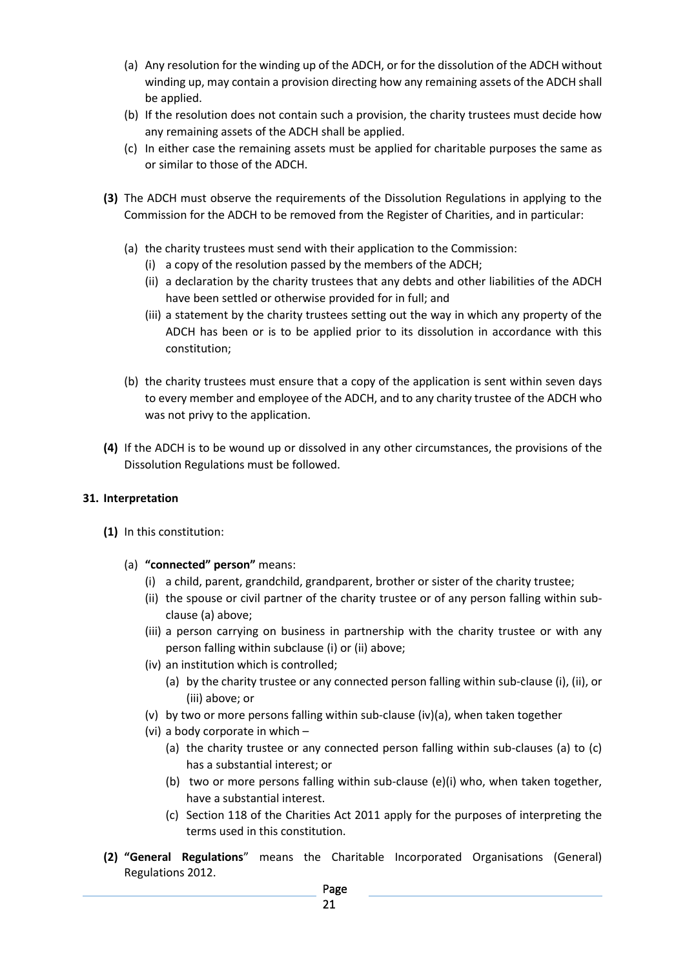- (a) Any resolution for the winding up of the ADCH, or for the dissolution of the ADCH without winding up, may contain a provision directing how any remaining assets of the ADCH shall be applied.
- (b) If the resolution does not contain such a provision, the charity trustees must decide how any remaining assets of the ADCH shall be applied.
- (c) In either case the remaining assets must be applied for charitable purposes the same as or similar to those of the ADCH.
- **(3)** The ADCH must observe the requirements of the Dissolution Regulations in applying to the Commission for the ADCH to be removed from the Register of Charities, and in particular:
	- (a) the charity trustees must send with their application to the Commission:
		- (i) a copy of the resolution passed by the members of the ADCH;
		- (ii) a declaration by the charity trustees that any debts and other liabilities of the ADCH have been settled or otherwise provided for in full; and
		- (iii) a statement by the charity trustees setting out the way in which any property of the ADCH has been or is to be applied prior to its dissolution in accordance with this constitution;
	- (b) the charity trustees must ensure that a copy of the application is sent within seven days to every member and employee of the ADCH, and to any charity trustee of the ADCH who was not privy to the application.
- **(4)** If the ADCH is to be wound up or dissolved in any other circumstances, the provisions of the Dissolution Regulations must be followed.

#### **31. Interpretation**

- **(1)** In this constitution:
	- (a) **"connected" person"** means:
		- (i) a child, parent, grandchild, grandparent, brother or sister of the charity trustee;
		- (ii) the spouse or civil partner of the charity trustee or of any person falling within subclause (a) above;
		- (iii) a person carrying on business in partnership with the charity trustee or with any person falling within subclause (i) or (ii) above;
		- (iv) an institution which is controlled;
			- (a) by the charity trustee or any connected person falling within sub-clause (i), (ii), or (iii) above; or
		- (v) by two or more persons falling within sub-clause (iv)(a), when taken together
		- (vi) a body corporate in which
			- (a) the charity trustee or any connected person falling within sub-clauses (a) to (c) has a substantial interest; or
			- (b) two or more persons falling within sub-clause (e)(i) who, when taken together, have a substantial interest.
			- (c) Section 118 of the Charities Act 2011 apply for the purposes of interpreting the terms used in this constitution.
- **(2) "General Regulations**" means the Charitable Incorporated Organisations (General) Regulations 2012.